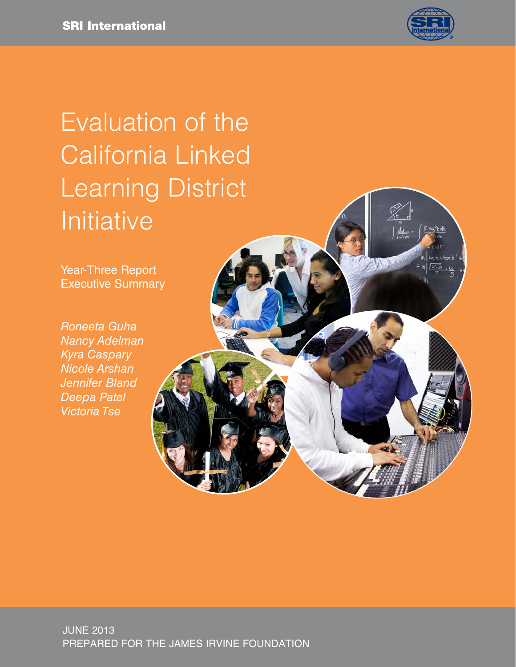

 $\rightarrow$ 

# Evaluation of the California Linked Learning District Initiative

Year-Three Report Executive Summary

*Roneeta Guha Nancy Adelman Kyra Caspary Nicole Arshan Jennifer Bland Deepa Patel Victoria Tse*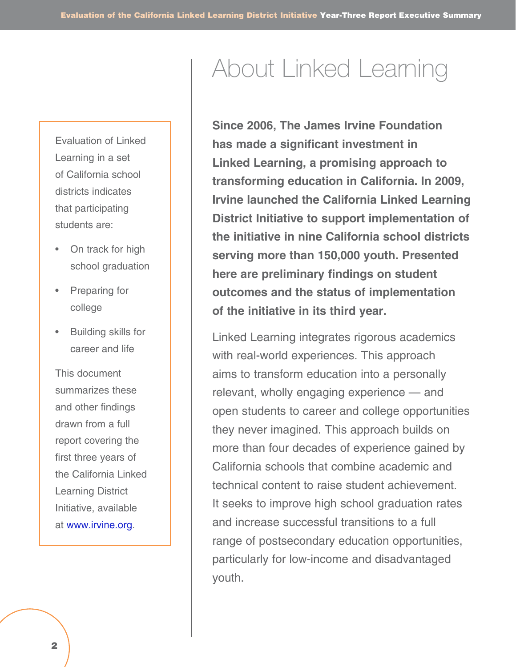Evaluation of Linked Learning in a set of California school districts indicates that participating students are:

- On track for high school graduation
- **Preparing for** college
- Building skills for career and life

This document summarizes these and other findings drawn from a full report covering the first three years of the California Linked Learning District Initiative, available at [www.irvine.org.](http://www.irvine.org)

## About Linked Learning

**Since 2006, The James Irvine Foundation has made a significant investment in Linked Learning, a promising approach to transforming education in California. In 2009, Irvine launched the California Linked Learning District Initiative to support implementation of the initiative in nine California school districts serving more than 150,000 youth. Presented here are preliminary findings on student outcomes and the status of implementation of the initiative in its third year.**

Linked Learning integrates rigorous academics with real-world experiences. This approach aims to transform education into a personally relevant, wholly engaging experience — and open students to career and college opportunities they never imagined. This approach builds on more than four decades of experience gained by California schools that combine academic and technical content to raise student achievement. It seeks to improve high school graduation rates and increase successful transitions to a full range of postsecondary education opportunities, particularly for low-income and disadvantaged youth.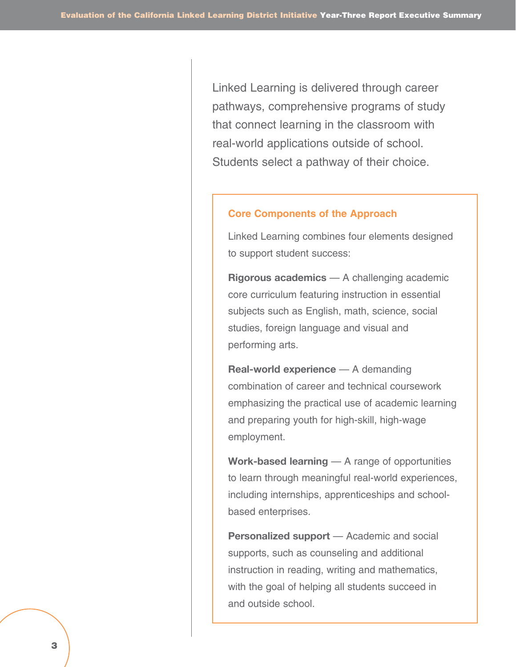Linked Learning is delivered through career pathways, comprehensive programs of study that connect learning in the classroom with real-world applications outside of school. Students select a pathway of their choice.

#### **Core Components of the Approach**

Linked Learning combines four elements designed to support student success:

**Rigorous academics** — A challenging academic core curriculum featuring instruction in essential subjects such as English, math, science, social studies, foreign language and visual and performing arts.

**Real-world experience** — A demanding combination of career and technical coursework emphasizing the practical use of academic learning and preparing youth for high-skill, high-wage employment.

**Work-based learning** — A range of opportunities to learn through meaningful real-world experiences, including internships, apprenticeships and schoolbased enterprises.

**Personalized support** — Academic and social supports, such as counseling and additional instruction in reading, writing and mathematics, with the goal of helping all students succeed in and outside school.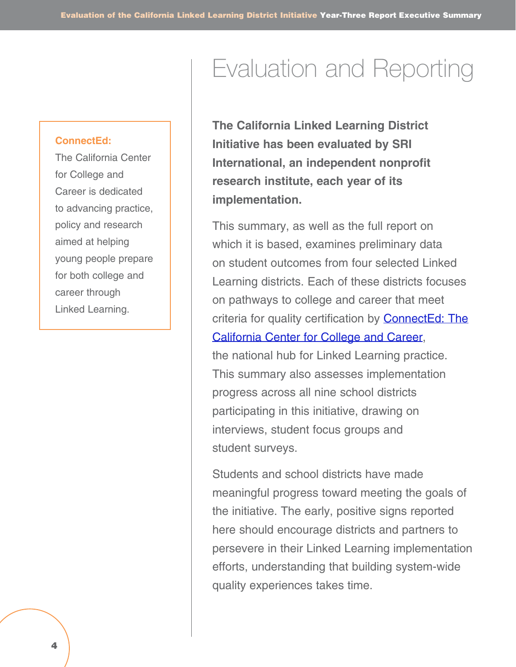#### **ConnectEd:**

The California Center for College and Career is dedicated to advancing practice, policy and research aimed at helping young people prepare for both college and career through Linked Learning.

### Evaluation and Reporting

**The California Linked Learning District Initiative has been evaluated by SRI International, an independent nonprofit research institute, each year of its implementation.** 

This summary, as well as the full report on which it is based, examines preliminary data on student outcomes from four selected Linked Learning districts. Each of these districts focuses on pathways to college and career that meet criteria for quality certification by **[ConnectEd: The](http://www.connectedcalifornia.org/)** [California Center for College and Career,](http://www.connectedcalifornia.org/) the national hub for Linked Learning practice. This summary also assesses implementation progress across all nine school districts participating in this initiative, drawing on interviews, student focus groups and student surveys.

Students and school districts have made meaningful progress toward meeting the goals of the initiative. The early, positive signs reported here should encourage districts and partners to persevere in their Linked Learning implementation efforts, understanding that building system-wide quality experiences takes time.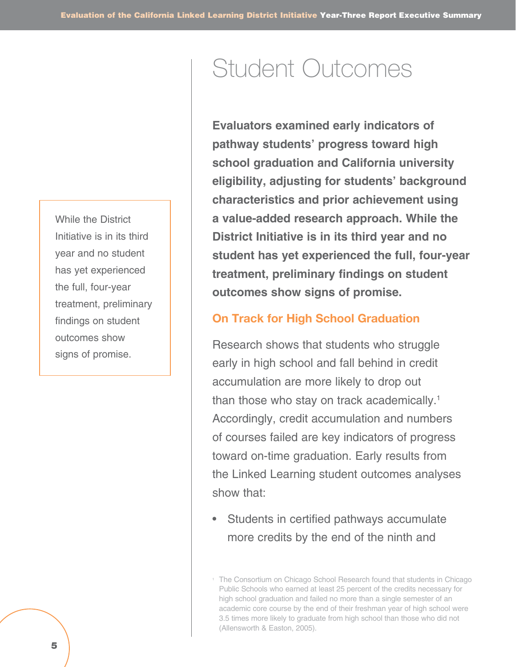While the District Initiative is in its third year and no student has yet experienced the full, four-year treatment, preliminary findings on student outcomes show signs of promise.

### Student Outcomes

**Evaluators examined early indicators of pathway students' progress toward high school graduation and California university eligibility, adjusting for students' background characteristics and prior achievement using a value-added research approach. While the District Initiative is in its third year and no student has yet experienced the full, four-year treatment, preliminary findings on student outcomes show signs of promise.** 

#### **On Track for High School Graduation**

Research shows that students who struggle early in high school and fall behind in credit accumulation are more likely to drop out than those who stay on track academically.<sup>1</sup> Accordingly, credit accumulation and numbers of courses failed are key indicators of progress toward on-time graduation. Early results from the Linked Learning student outcomes analyses show that:

• Students in certified pathways accumulate more credits by the end of the ninth and

<sup>&</sup>lt;sup>1</sup> The Consortium on Chicago School Research found that students in Chicago Public Schools who earned at least 25 percent of the credits necessary for high school graduation and failed no more than a single semester of an academic core course by the end of their freshman year of high school were 3.5 times more likely to graduate from high school than those who did not (Allensworth & Easton, 2005).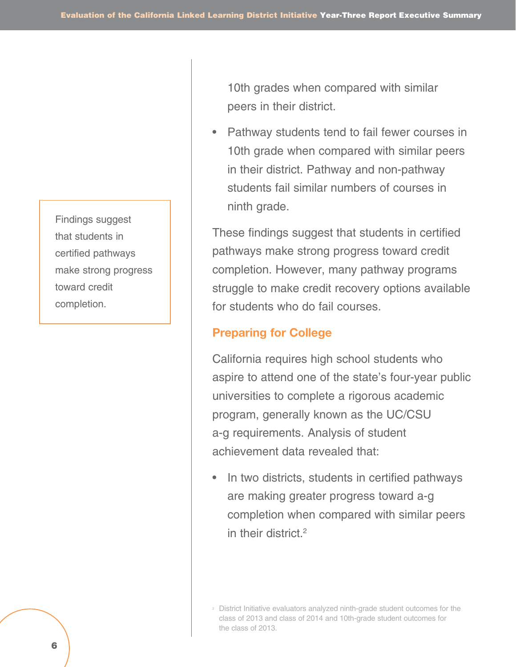Findings suggest that students in certified pathways make strong progress toward credit completion.

10th grades when compared with similar peers in their district.

• Pathway students tend to fail fewer courses in 10th grade when compared with similar peers in their district. Pathway and non-pathway students fail similar numbers of courses in ninth grade.

These findings suggest that students in certified pathways make strong progress toward credit completion. However, many pathway programs struggle to make credit recovery options available for students who do fail courses.

#### **Preparing for College**

California requires high school students who aspire to attend one of the state's four-year public universities to complete a rigorous academic program, generally known as the UC/CSU a-g requirements. Analysis of student achievement data revealed that:

• In two districts, students in certified pathways are making greater progress toward a-g completion when compared with similar peers in their district.2

<sup>2</sup> District Initiative evaluators analyzed ninth-grade student outcomes for the class of 2013 and class of 2014 and 10th-grade student outcomes for the class of 2013.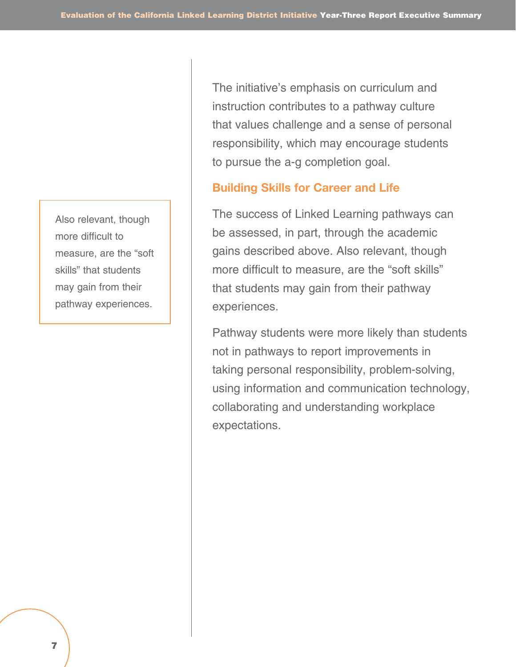Also relevant, though more difficult to measure, are the "soft skills" that students may gain from their pathway experiences.

The initiative's emphasis on curriculum and instruction contributes to a pathway culture that values challenge and a sense of personal responsibility, which may encourage students to pursue the a-g completion goal.

#### **Building Skills for Career and Life**

The success of Linked Learning pathways can be assessed, in part, through the academic gains described above. Also relevant, though more difficult to measure, are the "soft skills" that students may gain from their pathway experiences.

Pathway students were more likely than students not in pathways to report improvements in taking personal responsibility, problem-solving, using information and communication technology, collaborating and understanding workplace expectations.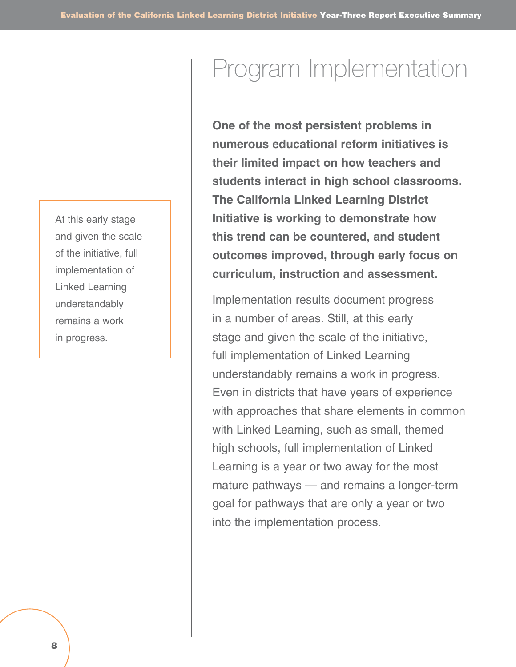At this early stage and given the scale of the initiative, full implementation of Linked Learning understandably remains a work in progress.

## Program Implementation

**One of the most persistent problems in numerous educational reform initiatives is their limited impact on how teachers and students interact in high school classrooms. The California Linked Learning District Initiative is working to demonstrate how this trend can be countered, and student outcomes improved, through early focus on curriculum, instruction and assessment.** 

Implementation results document progress in a number of areas. Still, at this early stage and given the scale of the initiative, full implementation of Linked Learning understandably remains a work in progress. Even in districts that have years of experience with approaches that share elements in common with Linked Learning, such as small, themed high schools, full implementation of Linked Learning is a year or two away for the most mature pathways — and remains a longer-term goal for pathways that are only a year or two into the implementation process.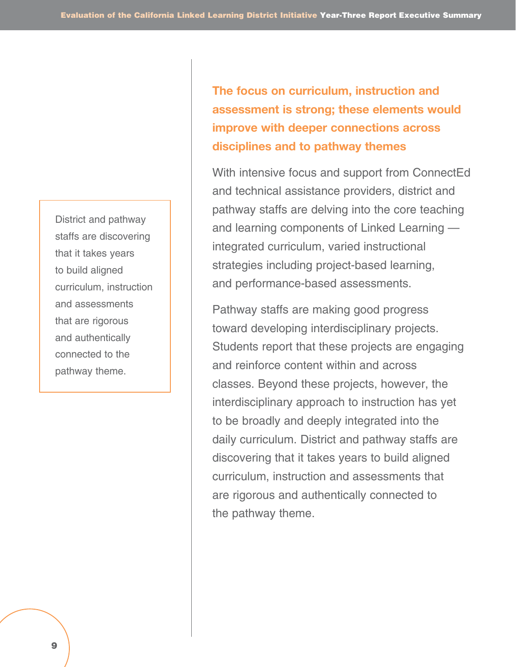District and pathway staffs are discovering that it takes years to build aligned curriculum, instruction and assessments that are rigorous and authentically connected to the pathway theme.

**The focus on curriculum, instruction and assessment is strong; these elements would improve with deeper connections across disciplines and to pathway themes**

With intensive focus and support from ConnectEd and technical assistance providers, district and pathway staffs are delving into the core teaching and learning components of Linked Learning integrated curriculum, varied instructional strategies including project-based learning, and performance-based assessments.

Pathway staffs are making good progress toward developing interdisciplinary projects. Students report that these projects are engaging and reinforce content within and across classes. Beyond these projects, however, the interdisciplinary approach to instruction has yet to be broadly and deeply integrated into the daily curriculum. District and pathway staffs are discovering that it takes years to build aligned curriculum, instruction and assessments that are rigorous and authentically connected to the pathway theme.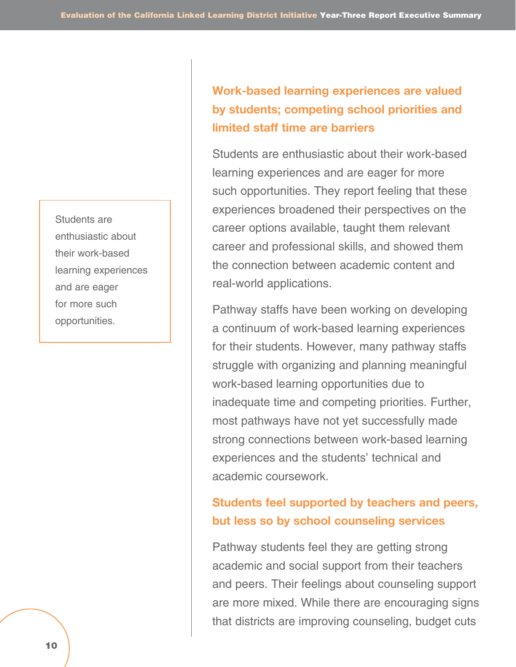Students are enthusiastic about their work-based learning experiences and are eager for more such opportunities.

### **Work-based learning experiences are valued by students; competing school priorities and limited staff time are barriers**

Students are enthusiastic about their work-based learning experiences and are eager for more such opportunities. They report feeling that these experiences broadened their perspectives on the career options available, taught them relevant career and professional skills, and showed them the connection between academic content and real-world applications.

Pathway staffs have been working on developing a continuum of work-based learning experiences for their students. However, many pathway staffs struggle with organizing and planning meaningful work-based learning opportunities due to inadequate time and competing priorities. Further, most pathways have not yet successfully made strong connections between work-based learning experiences and the students' technical and academic coursework.

### **Students feel supported by teachers and peers, but less so by school counseling services**

Pathway students feel they are getting strong academic and social support from their teachers and peers. Their feelings about counseling support are more mixed. While there are encouraging signs that districts are improving counseling, budget cuts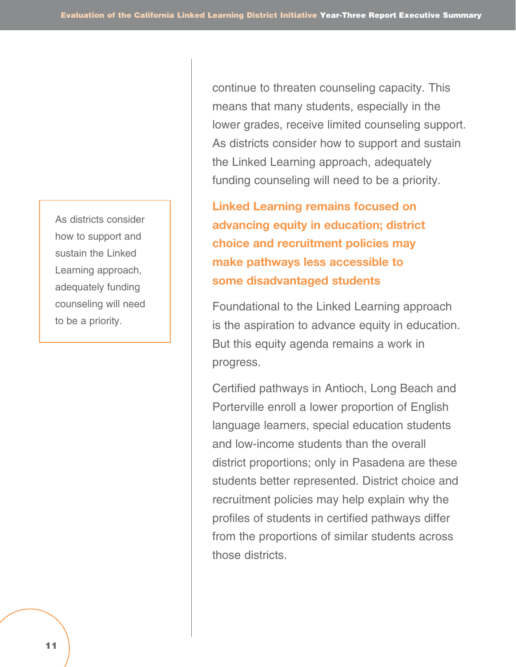As districts consider how to support and sustain the Linked Learning approach, adequately funding counseling will need to be a priority.

continue to threaten counseling capacity. This means that many students, especially in the lower grades, receive limited counseling support. As districts consider how to support and sustain the Linked Learning approach, adequately funding counseling will need to be a priority.

**Linked Learning remains focused on advancing equity in education; district choice and recruitment policies may make pathways less accessible to some disadvantaged students**

Foundational to the Linked Learning approach is the aspiration to advance equity in education. But this equity agenda remains a work in progress.

Certified pathways in Antioch, Long Beach and Porterville enroll a lower proportion of English language learners, special education students and low-income students than the overall district proportions; only in Pasadena are these students better represented. District choice and recruitment policies may help explain why the profiles of students in certified pathways differ from the proportions of similar students across those districts.